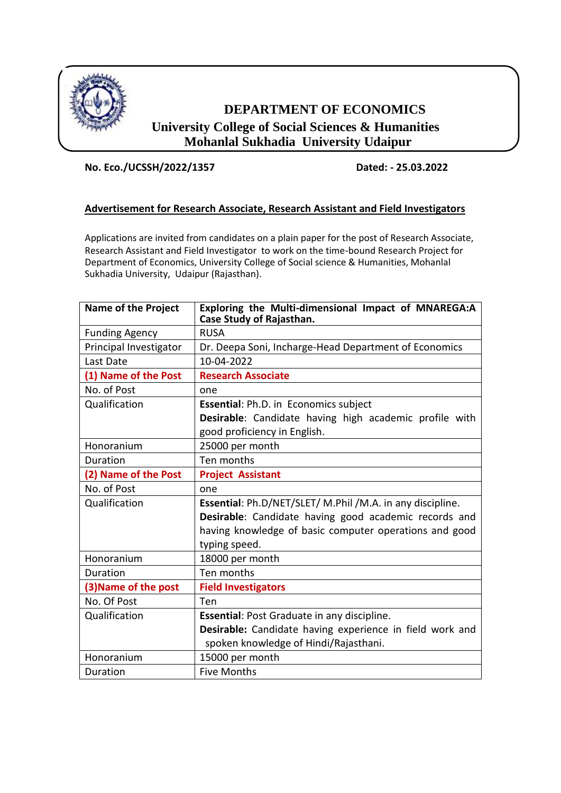

# **DEPARTMENT OF ECONOMICS University College of Social Sciences & Humanities Mohanlal Sukhadia University Udaipur**

## **No. Eco./UCSSH/2022/1357 Dated: - 25.03.2022**

## **Advertisement for Research Associate, Research Assistant and Field Investigators**

Applications are invited from candidates on a plain paper for the post of Research Associate, Research Assistant and Field Investigator to work on the time-bound Research Project for Department of Economics, University College of Social science & Humanities, Mohanlal Sukhadia University, Udaipur (Rajasthan).

| <b>Name of the Project</b> | Exploring the Multi-dimensional Impact of MNAREGA:A<br>Case Study of Rajasthan. |
|----------------------------|---------------------------------------------------------------------------------|
| <b>Funding Agency</b>      | <b>RUSA</b>                                                                     |
| Principal Investigator     | Dr. Deepa Soni, Incharge-Head Department of Economics                           |
| Last Date                  | 10-04-2022                                                                      |
| (1) Name of the Post       | <b>Research Associate</b>                                                       |
| No. of Post                | one                                                                             |
| Qualification              | Essential: Ph.D. in Economics subject                                           |
|                            | Desirable: Candidate having high academic profile with                          |
|                            | good proficiency in English.                                                    |
| Honoranium                 | 25000 per month                                                                 |
| Duration                   | Ten months                                                                      |
| (2) Name of the Post       | <b>Project Assistant</b>                                                        |
| No. of Post                | one                                                                             |
| Qualification              | Essential: Ph.D/NET/SLET/ M.Phil /M.A. in any discipline.                       |
|                            | Desirable: Candidate having good academic records and                           |
|                            | having knowledge of basic computer operations and good                          |
|                            | typing speed.                                                                   |
| Honoranium                 | 18000 per month                                                                 |
| Duration                   | Ten months                                                                      |
| (3) Name of the post       | <b>Field Investigators</b>                                                      |
| No. Of Post                | Ten                                                                             |
| Qualification              | Essential: Post Graduate in any discipline.                                     |
|                            | Desirable: Candidate having experience in field work and                        |
|                            | spoken knowledge of Hindi/Rajasthani.                                           |
| Honoranium                 | 15000 per month                                                                 |
| Duration                   | <b>Five Months</b>                                                              |